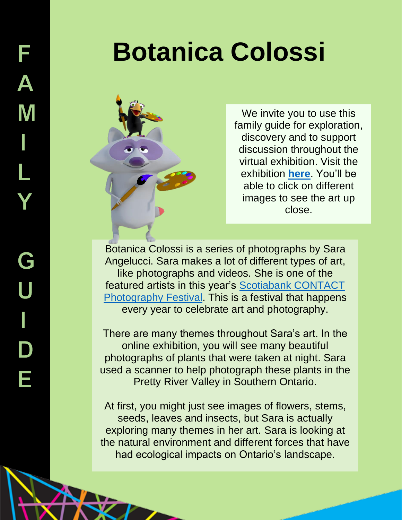

We invite you to use this family guide for exploration, discovery and to support discussion throughout the virtual exhibition. Visit the exhibition **[here](https://peelregion.ca/pama/botanica/)**. You'll be able to click on different images to see the art up close.

Botanica Colossi is a series of photographs by Sara Angelucci. Sara makes a lot of different types of art, like photographs and videos. She is one of the featured artists in this year's [Scotiabank CONTACT](https://scotiabankcontactphoto.com/2021/exhibition/sara-angelucci-botanica-colossi/)  [Photography Festival.](https://scotiabankcontactphoto.com/2021/exhibition/sara-angelucci-botanica-colossi/) This is a festival that happens every year to celebrate art and photography.

There are many themes throughout Sara's art. In the online exhibition, you will see many beautiful photographs of plants that were taken at night. Sara used a scanner to help photograph these plants in the Pretty River Valley in Southern Ontario.

At first, you might just see images of flowers, stems, seeds, leaves and insects, but Sara is actually exploring many themes in her art. Sara is looking at the natural environment and different forces that have had ecological impacts on Ontario's landscape.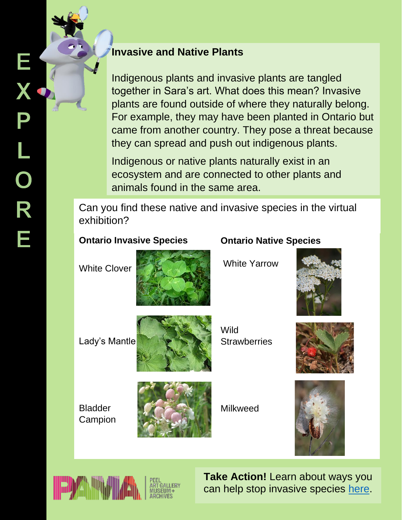## **Invasive and Native Plants**

Indigenous plants and invasive plants are tangled together in Sara's art. What does this mean? Invasive plants are found outside of where they naturally belong. For example, they may have been planted in Ontario but came from another country. They pose a threat because they can spread and push out indigenous plants.

Indigenous or native plants naturally exist in an ecosystem and are connected to other plants and animals found in the same area.

Can you find these native and invasive species in the virtual exhibition?

## **Ontario Invasive Species**

White Clover



Lady's Mantle



Wild **Strawberries** 



Milkweed





Bladder Campion

> **Take Action!** Learn about ways you can help stop invasive species [here.](https://www.ontario.ca/page/invasive-species-ontario#section-1)

## **Ontario Native Species**

White Yarrow



![](_page_1_Picture_18.jpeg)